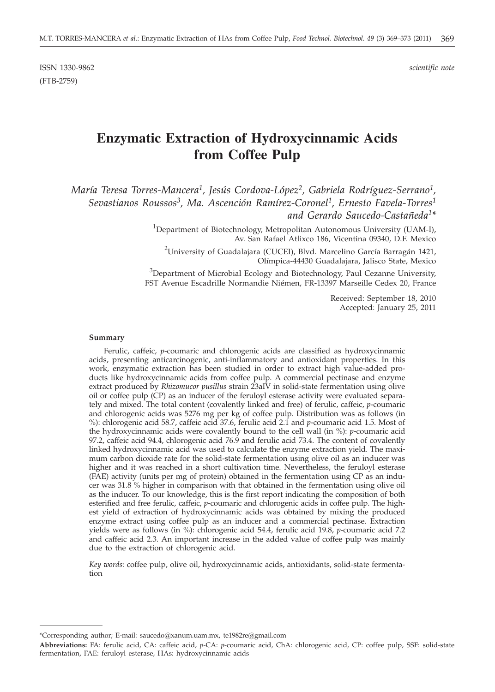ISSN 1330-9862 *scientific note* (FTB-2759)

# **Enzymatic Extraction of Hydroxycinnamic Acids from Coffee Pulp**

*María Teresa Torres-Mancera1, Jesús Cordova-López2, Gabriela Rodríguez-Serrano1, Sevastianos Roussos3, Ma. Ascención Ramírez-Coronel1, Ernesto Favela-Torres1 and Gerardo Saucedo-Castañeda1\**

> <sup>1</sup>Department of Biotechnology, Metropolitan Autonomous University (UAM-I), Av. San Rafael Atlixco 186, Vicentina 09340, D.F. Mexico

 $^2$ University of Guadalajara (CUCEI), Blvd. Marcelino García Barragán 1421, Olímpica-44430 Guadalajara, Jalisco State, Mexico

 $3$ Department of Microbial Ecology and Biotechnology, Paul Cezanne University, FST Avenue Escadrille Normandie Niémen, FR-13397 Marseille Cedex 20, France

> Received: September 18, 2010 Accepted: January 25, 2011

## **Summary**

Ferulic, caffeic, *p*-coumaric and chlorogenic acids are classified as hydroxycinnamic acids, presenting anticarcinogenic, anti-inflammatory and antioxidant properties. In this work, enzymatic extraction has been studied in order to extract high value-added products like hydroxycinnamic acids from coffee pulp. A commercial pectinase and enzyme extract produced by *Rhizomucor pusillus* strain 23aIV in solid-state fermentation using olive oil or coffee pulp (CP) as an inducer of the feruloyl esterase activity were evaluated separately and mixed. The total content (covalently linked and free) of ferulic, caffeic, *p*-coumaric and chlorogenic acids was 5276 mg per kg of coffee pulp. Distribution was as follows (in %): chlorogenic acid 58.7, caffeic acid 37.6, ferulic acid 2.1 and *p*-coumaric acid 1.5. Most of the hydroxycinnamic acids were covalently bound to the cell wall (in %): *p*-coumaric acid 97.2, caffeic acid 94.4, chlorogenic acid 76.9 and ferulic acid 73.4. The content of covalently linked hydroxycinnamic acid was used to calculate the enzyme extraction yield. The maximum carbon dioxide rate for the solid-state fermentation using olive oil as an inducer was higher and it was reached in a short cultivation time. Nevertheless, the feruloyl esterase (FAE) activity (units per mg of protein) obtained in the fermentation using CP as an inducer was 31.8 % higher in comparison with that obtained in the fermentation using olive oil as the inducer. To our knowledge, this is the first report indicating the composition of both esterified and free ferulic, caffeic, *p*-coumaric and chlorogenic acids in coffee pulp. The highest yield of extraction of hydroxycinnamic acids was obtained by mixing the produced enzyme extract using coffee pulp as an inducer and a commercial pectinase. Extraction yields were as follows (in %): chlorogenic acid 54.4, ferulic acid 19.8, *p*-coumaric acid 7.2 and caffeic acid 2.3. An important increase in the added value of coffee pulp was mainly due to the extraction of chlorogenic acid.

*Key words:* coffee pulp, olive oil, hydroxycinnamic acids, antioxidants, solid-state fermentation

<sup>\*</sup>Corresponding author; E-mail: saucedo@xanum.uam.mx, te1982re@gmail.com

**Abbreviations:** FA: ferulic acid, CA: caffeic acid, *p*-CA: *p*-coumaric acid, ChA: chlorogenic acid, CP: coffee pulp, SSF: solid-state fermentation, FAE: feruloyl esterase, HAs: hydroxycinnamic acids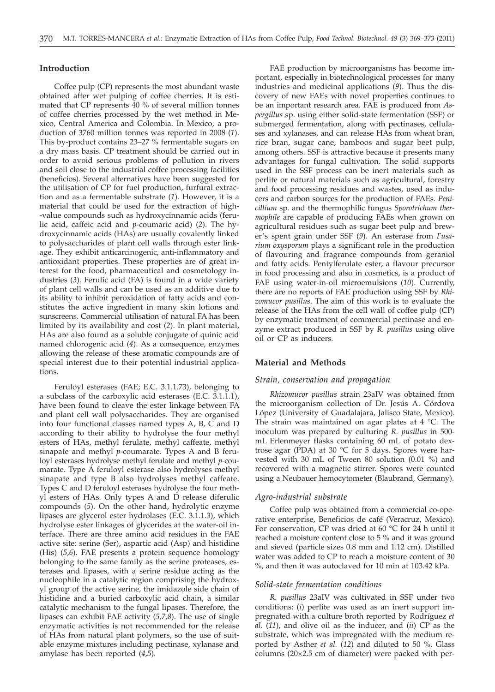#### **Introduction**

Coffee pulp (CP) represents the most abundant waste obtained after wet pulping of coffee cherries. It is estimated that CP represents 40 % of several million tonnes of coffee cherries processed by the wet method in Mexico, Central America and Colombia. In Mexico, a production of 3760 million tonnes was reported in 2008 (*1*). This by-product contains 23–27 % fermentable sugars on a dry mass basis. CP treatment should be carried out in order to avoid serious problems of pollution in rivers and soil close to the industrial coffee processing facilities (beneficios). Several alternatives have been suggested for the utilisation of CP for fuel production, furfural extraction and as a fermentable substrate (*1*). However, it is a material that could be used for the extraction of high- -value compounds such as hydroxycinnamic acids (ferulic acid, caffeic acid and *p*-coumaric acid) (*2*). The hydroxycinnamic acids (HAs) are usually covalently linked to polysaccharides of plant cell walls through ester linkage. They exhibit anticarcinogenic, anti-inflammatory and antioxidant properties. These properties are of great interest for the food, pharmaceutical and cosmetology industries (*3*). Ferulic acid (FA) is found in a wide variety of plant cell walls and can be used as an additive due to its ability to inhibit peroxidation of fatty acids and constitutes the active ingredient in many skin lotions and sunscreens. Commercial utilisation of natural FA has been limited by its availability and cost (*2*). In plant material, HAs are also found as a soluble conjugate of quinic acid named chlorogenic acid (*4*). As a consequence, enzymes allowing the release of these aromatic compounds are of special interest due to their potential industrial applications.

Feruloyl esterases (FAE; E.C. 3.1.1.73), belonging to a subclass of the carboxylic acid esterases (E.C. 3.1.1.1), have been found to cleave the ester linkage between FA and plant cell wall polysaccharides. They are organised into four functional classes named types A, B, C and D according to their ability to hydrolyse the four methyl esters of HAs, methyl ferulate, methyl caffeate, methyl sinapate and methyl *p*-coumarate. Types A and B feruloyl esterases hydrolyse methyl ferulate and methyl *p-*coumarate. Type A feruloyl esterase also hydrolyses methyl sinapate and type B also hydrolyses methyl caffeate. Types C and D feruloyl esterases hydrolyse the four methyl esters of HAs. Only types A and D release diferulic compounds (*5*). On the other hand, hydrolytic enzyme lipases are glycerol ester hydrolases (E.C. 3.1.1.3), which hydrolyse ester linkages of glycerides at the water-oil interface. There are three amino acid residues in the FAE active site: serine (Ser), aspartic acid (Asp) and histidine (His) (*5*,*6*). FAE presents a protein sequence homology belonging to the same family as the serine proteases, esterases and lipases, with a serine residue acting as the nucleophile in a catalytic region comprising the hydroxyl group of the active serine, the imidazole side chain of histidine and a buried carboxylic acid chain, a similar catalytic mechanism to the fungal lipases. Therefore, the lipases can exhibit FAE activity (*5,7,8*). The use of single enzymatic activities is not recommended for the release of HAs from natural plant polymers, so the use of suitable enzyme mixtures including pectinase, xylanase and amylase has been reported (*4,5*).

FAE production by microorganisms has become important, especially in biotechnological processes for many industries and medicinal applications (*9*). Thus the discovery of new FAEs with novel properties continues to be an important research area. FAE is produced from *Aspergillus* sp*.* using either solid-state fermentation (SSF) or submerged fermentation, along with pectinases, cellulases and xylanases, and can release HAs from wheat bran, rice bran, sugar cane, bamboos and sugar beet pulp, among others. SSF is attractive because it presents many advantages for fungal cultivation. The solid supports used in the SSF process can be inert materials such as perlite or natural materials such as agricultural, forestry and food processing residues and wastes, used as inducers and carbon sources for the production of FAEs. *Penicillium* sp. and the thermophilic fungus *Sporotrichum thermophile* are capable of producing FAEs when grown on agricultural residues such as sugar beet pulp and brewer's spent grain under SSF (*9*). An esterase from *Fusarium oxysporum* plays a significant role in the production of flavouring and fragrance compounds from geraniol and fatty acids. Pentylferulate ester, a flavour precursor in food processing and also in cosmetics, is a product of FAE using water-in-oil microemulsions (*10*). Currently, there are no reports of FAE production using SSF by *Rhizomucor pusillus*. The aim of this work is to evaluate the release of the HAs from the cell wall of coffee pulp (CP) by enzymatic treatment of commercial pectinase and enzyme extract produced in SSF by *R. pusillus* using olive oil or CP as inducers.

## **Material and Methods**

#### *Strain, conservation and propagation*

*Rhizomucor pusillus* strain 23aIV was obtained from the microorganism collection of Dr. Jesús A. Córdova López (University of Guadalajara, Jalisco State, Mexico). The strain was maintained on agar plates at  $4 \degree C$ . The inoculum was prepared by culturing *R. pusillus* in 500 mL Erlenmeyer flasks containing 60 mL of potato dextrose agar (PDA) at 30 °C for 5 days. Spores were harvested with 30 mL of Tween 80 solution (0.01 %) and recovered with a magnetic stirrer. Spores were counted using a Neubauer hemocytometer (Blaubrand, Germany).

#### *Agro-industrial substrate*

Coffee pulp was obtained from a commercial co-operative enterprise, Beneficios de café (Veracruz, Mexico). For conservation, CP was dried at 60 °C for 24 h until it reached a moisture content close to 5 % and it was ground and sieved (particle sizes 0.8 mm and 1.12 cm). Distilled water was added to CP to reach a moisture content of 30 %, and then it was autoclaved for 10 min at 103.42 kPa.

#### *Solid-state fermentation conditions*

*R. pusillus* 23aIV was cultivated in SSF under two conditions: (*i*) perlite was used as an inert support impregnated with a culture broth reported by Rodríguez *et al.* (*11*), and olive oil as the inducer, and (*ii*) CP as the substrate, which was impregnated with the medium reported by Asther *et al.* (*12*) and diluted to 50 %. Glass columns (20×2.5 cm of diameter) were packed with per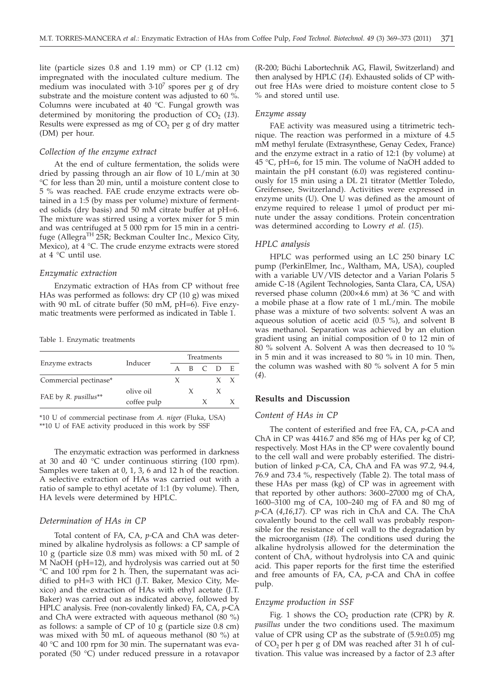lite (particle sizes 0.8 and 1.19 mm) or CP (1.12 cm) impregnated with the inoculated culture medium. The medium was inoculated with  $3.10<sup>7</sup>$  spores per g of dry substrate and the moisture content was adjusted to 60 %. Columns were incubated at 40 °C. Fungal growth was determined by monitoring the production of  $CO<sub>2</sub>$  (13). Results were expressed as mg of  $CO<sub>2</sub>$  per g of dry matter (DM) per hour.

# *Collection of the enzyme extract*

At the end of culture fermentation, the solids were dried by passing through an air flow of 10 L/min at 30 °C for less than 20 min, until a moisture content close to 5 % was reached. FAE crude enzyme extracts were obtained in a 1:5 (by mass per volume) mixture of fermented solids (dry basis) and 50 mM citrate buffer at pH=6. The mixture was stirred using a vortex mixer for 5 min and was centrifuged at 5 000 rpm for 15 min in a centrifuge (Allegra<sup>TH</sup> 25R; Beckman Coulter Inc., Mexico City, Mexico), at 4 °C. The crude enzyme extracts were stored at 4 °C until use.

#### *Enzymatic extraction*

Enzymatic extraction of HAs from CP without free HAs was performed as follows: dry CP (10 g) was mixed with 90 mL of citrate buffer (50 mM, pH=6). Five enzymatic treatments were performed as indicated in Table 1.

Table 1. Enzymatic treatments

|                       |             |   |         |  | Treatments |  |  |  |
|-----------------------|-------------|---|---------|--|------------|--|--|--|
| Enzyme extracts       | Inducer     |   | B C D E |  |            |  |  |  |
|                       |             |   |         |  |            |  |  |  |
| Commercial pectinase* |             | X |         |  |            |  |  |  |
|                       | olive oil   |   |         |  |            |  |  |  |
| FAE by R. pusillus**  | coffee pulp |   |         |  |            |  |  |  |
|                       |             |   |         |  |            |  |  |  |

\*10 U of commercial pectinase from *A. niger* (Fluka, USA) \*\*10 U of FAE activity produced in this work by SSF

The enzymatic extraction was performed in darkness at 30 and 40 °C under continuous stirring (100 rpm). Samples were taken at 0, 1, 3, 6 and 12 h of the reaction. A selective extraction of HAs was carried out with a ratio of sample to ethyl acetate of 1:1 (by volume). Then, HA levels were determined by HPLC.

## *Determination of HAs in CP*

Total content of FA, CA, *p-*CA and ChA was determined by alkaline hydrolysis as follows: a CP sample of 10 g (particle size 0.8 mm) was mixed with 50 mL of 2 M NaOH (pH=12), and hydrolysis was carried out at 50 °C and 100 rpm for 2 h. Then, the supernatant was acidified to pH=3 with HCl (J.T. Baker, Mexico City, Mexico) and the extraction of HAs with ethyl acetate (J.T. Baker) was carried out as indicated above, followed by HPLC analysis. Free (non-covalently linked) FA, CA, *p*-CA and ChA were extracted with aqueous methanol (80 %) as follows: a sample of  $CP$  of  $10 \text{ g}$  (particle size 0.8 cm) was mixed with 50 mL of aqueous methanol (80 %) at 40 °C and 100 rpm for 30 min. The supernatant was evaporated (50 °C) under reduced pressure in a rotavapor

(R-200; Büchi Labortechnik AG, Flawil, Switzerland) and then analysed by HPLC (*14*). Exhausted solids of CP without free HAs were dried to moisture content close to 5 % and stored until use.

#### *Enzyme assay*

FAE activity was measured using a titrimetric technique. The reaction was performed in a mixture of 4.5 mM methyl ferulate (Extrasynthese, Genay Cedex, France) and the enzyme extract in a ratio of 12:1 (by volume) at 45 °C, pH=6, for 15 min. The volume of NaOH added to maintain the pH constant (6.0) was registered continuously for 15 min using a DL 21 titrator (Mettler Toledo, Greifensee, Switzerland). Activities were expressed in enzyme units (U). One U was defined as the amount of enzyme required to release 1 µmol of product per minute under the assay conditions. Protein concentration was determined according to Lowry *et al.* (*15*).

## *HPLC analysis*

HPLC was performed using an LC 250 binary LC pump (PerkinElmer, Inc., Waltham, MA, USA), coupled with a variable UV/VIS detector and a Varian Polaris 5 amide C-18 (Agilent Technologies, Santa Clara, CA, USA) reversed phase column (200×4.6 mm) at 36 °C and with a mobile phase at a flow rate of 1 mL/min. The mobile phase was a mixture of two solvents: solvent A was an aqueous solution of acetic acid (0.5 %), and solvent B was methanol. Separation was achieved by an elution gradient using an initial composition of 0 to 12 min of 80 % solvent A. Solvent A was then decreased to 10 % in 5 min and it was increased to 80 % in 10 min. Then, the column was washed with 80 % solvent A for 5 min (*4*).

## **Results and Discussion**

## *Content of HAs in CP*

The content of esterified and free FA, CA, *p*-CA and ChA in CP was 4416.7 and 856 mg of HAs per kg of CP, respectively. Most HAs in the CP were covalently bound to the cell wall and were probably esterified. The distribution of linked *p-*CA, CA, ChA and FA was 97.2, 94.4, 76.9 and 73.4 %, respectively (Table 2). The total mass of these HAs per mass (kg) of CP was in agreement with that reported by other authors: 3600–27000 mg of ChA, 1600–3100 mg of CA, 100–240 mg of FA and 80 mg of *p*-CA (*4*,*16*,*17*). CP was rich in ChA and CA. The ChA covalently bound to the cell wall was probably responsible for the resistance of cell wall to the degradation by the microorganism (*18*). The conditions used during the alkaline hydrolysis allowed for the determination the content of ChA, without hydrolysis into CA and quinic acid. This paper reports for the first time the esterified and free amounts of FA, CA, *p*-CA and ChA in coffee pulp.

## *Enzyme production in SSF*

Fig. 1 shows the  $CO<sub>2</sub>$  production rate (CPR) by *R*. *pusillus* under the two conditions used. The maximum value of CPR using CP as the substrate of (5.9±0.05) mg of  $CO<sub>2</sub>$  per h per g of DM was reached after 31 h of cultivation. This value was increased by a factor of 2.3 after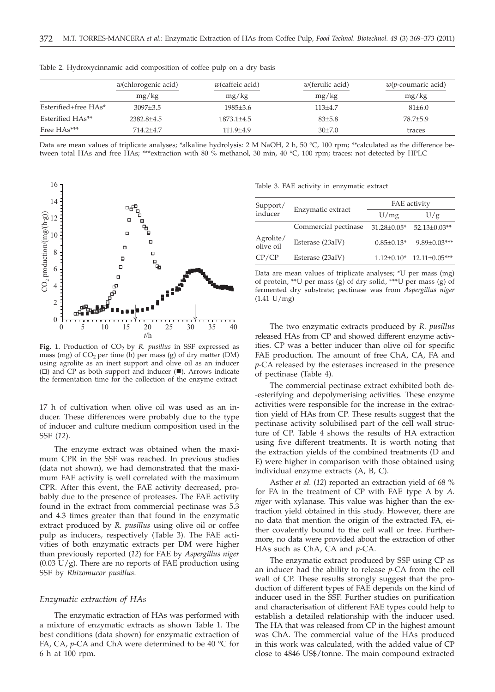|                      | $w$ (chlorogenic acid) | $w$ (caffeic acid) | $w$ (ferulic acid) | $w(p$ -coumaric acid) |
|----------------------|------------------------|--------------------|--------------------|-----------------------|
|                      | mg/kg                  | mg/kg              | mg/kg              | mg/kg                 |
| Esterified+free HAs* | $3097 + 3.5$           | 1985±3.6           | $113+4.7$          | $81 \pm 6.0$          |
| Esterified HAs**     | $2382.8+4.5$           | 1873.1+4.5         | $83{\pm}5.8$       | $78.7 + 5.9$          |
| Free HAs***          | $714.2 + 4.7$          | $111.9 + 4.9$      | $30+7.0$           | traces                |

Table 2. Hydroxycinnamic acid composition of coffee pulp on a dry basis

Data are mean values of triplicate analyses; \*alkaline hydrolysis: 2 M NaOH, 2 h, 50 °C, 100 rpm; \*\*calculated as the difference between total HAs and free HAs; \*\*\*extraction with 80 % methanol, 30 min, 40 °C, 100 rpm; traces: not detected by HPLC



Fig. 1. Production of CO<sub>2</sub> by *R. pusillus* in SSF expressed as mass (mg) of  $CO<sub>2</sub>$  per time (h) per mass (g) of dry matter (DM) using agrolite as an inert support and olive oil as an inducer  $(\Box)$  and CP as both support and inducer  $(\blacksquare)$ . Arrows indicate the fermentation time for the collection of the enzyme extract

17 h of cultivation when olive oil was used as an inducer. These differences were probably due to the type of inducer and culture medium composition used in the SSF (*12*).

The enzyme extract was obtained when the maximum CPR in the SSF was reached. In previous studies (data not shown), we had demonstrated that the maximum FAE activity is well correlated with the maximum CPR. After this event, the FAE activity decreased, probably due to the presence of proteases. The FAE activity found in the extract from commercial pectinase was 5.3 and 4.3 times greater than that found in the enzymatic extract produced by *R. pusillus* using olive oil or coffee pulp as inducers, respectively (Table 3). The FAE activities of both enzymatic extracts per DM were higher than previously reported (*12*) for FAE by *Aspergillus niger*  $(0.03 \text{ U/g})$ . There are no reports of FAE production using SSF by *Rhizomucor pusillus*.

#### *Enzymatic extraction of HAs*

The enzymatic extraction of HAs was performed with a mixture of enzymatic extracts as shown Table 1. The best conditions (data shown) for enzymatic extraction of FA, CA, *p*-CA and ChA were determined to be 40 °C for 6 h at 100 rpm.

|  |  |  |  |  |  | Table 3. FAE activity in enzymatic extract |  |
|--|--|--|--|--|--|--------------------------------------------|--|
|--|--|--|--|--|--|--------------------------------------------|--|

| Support/               |                      | FAE activity      |                                  |  |  |
|------------------------|----------------------|-------------------|----------------------------------|--|--|
| inducer                | Enzymatic extract    | U/mg              | U/g                              |  |  |
|                        | Commercial pectinase | $31.28 \pm 0.05*$ | 52.13±0.03**                     |  |  |
| Agrolite/<br>olive oil | Esterase (23aIV)     | $0.85 \pm 0.13*$  | $9.89 \pm 0.03***$               |  |  |
| CP/CP                  | Esterase (23aIV)     |                   | $1.12\pm0.10*$ $12.11\pm0.05***$ |  |  |
|                        |                      |                   |                                  |  |  |

Data are mean values of triplicate analyses; \*U per mass (mg) of protein, \*\*U per mass (g) of dry solid, \*\*\*U per mass (g) of fermented dry substrate; pectinase was from *Aspergillus niger* (1.41 U/mg)

The two enzymatic extracts produced by *R. pusillus* released HAs from CP and showed different enzyme activities. CP was a better inducer than olive oil for specific FAE production. The amount of free ChA, CA, FA and *p*-CA released by the esterases increased in the presence of pectinase (Table 4).

The commercial pectinase extract exhibited both de- -esterifying and depolymerising activities. These enzyme activities were responsible for the increase in the extraction yield of HAs from CP. These results suggest that the pectinase activity solubilised part of the cell wall structure of CP. Table 4 shows the results of HA extraction using five different treatments. It is worth noting that the extraction yields of the combined treatments (D and E) were higher in comparison with those obtained using individual enzyme extracts (A, B, C).

Asther *et al.* (*12*) reported an extraction yield of 68 % for FA in the treatment of CP with FAE type A by *A. niger* with xylanase. This value was higher than the extraction yield obtained in this study. However, there are no data that mention the origin of the extracted FA, either covalently bound to the cell wall or free. Furthermore, no data were provided about the extraction of other HAs such as ChA, CA and *p*-CA.

The enzymatic extract produced by SSF using CP as an inducer had the ability to release *p*-CA from the cell wall of CP. These results strongly suggest that the production of different types of FAE depends on the kind of inducer used in the SSF. Further studies on purification and characterisation of different FAE types could help to establish a detailed relationship with the inducer used. The HA that was released from CP in the highest amount was ChA. The commercial value of the HAs produced in this work was calculated, with the added value of CP close to 4846 US\$/tonne. The main compound extracted